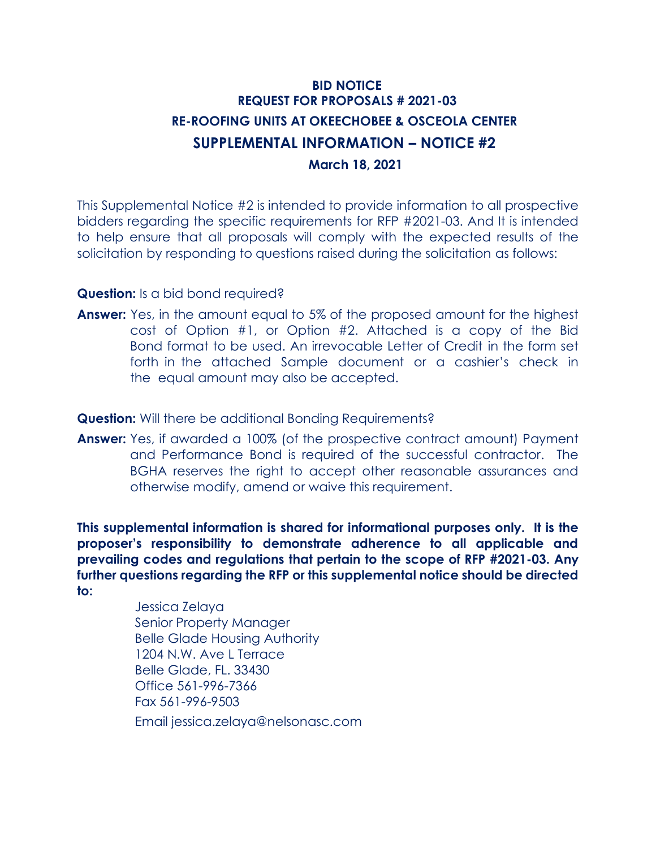## **BID NOTICE REQUEST FOR PROPOSALS # 2021-03 RE-ROOFING UNITS AT OKEECHOBEE & OSCEOLA CENTER SUPPLEMENTAL INFORMATION – NOTICE #2 March 18, 2021**

This Supplemental Notice #2 is intended to provide information to all prospective bidders regarding the specific requirements for RFP #2021-03. And It is intended to help ensure that all proposals will comply with the expected results of the solicitation by responding to questions raised during the solicitation as follows:

## **Question:** Is a bid bond required?

**Answer:** Yes, in the amount equal to 5% of the proposed amount for the highest cost of Option #1, or Option #2. Attached is a copy of the Bid Bond format to be used. An irrevocable Letter of Credit in the form set forth in the attached Sample document or a cashier's check in the equal amount may also be accepted.

**Question:** Will there be additional Bonding Requirements?

**Answer:** Yes, if awarded a 100% (of the prospective contract amount) Payment and Performance Bond is required of the successful contractor. The BGHA reserves the right to accept other reasonable assurances and otherwise modify, amend or waive this requirement.

**This supplemental information is shared for informational purposes only. It is the proposer's responsibility to demonstrate adherence to all applicable and prevailing codes and regulations that pertain to the scope of RFP #2021-03. Any further questions regarding the RFP or this supplemental notice should be directed to:**

> Jessica Zelaya Senior Property Manager Belle Glade Housing Authority 1204 N.W. Ave L Terrace Belle Glade, FL. 33430 Office 561-996-7366 Fax 561-996-9503 Email jessica.zelaya@nelsonasc.com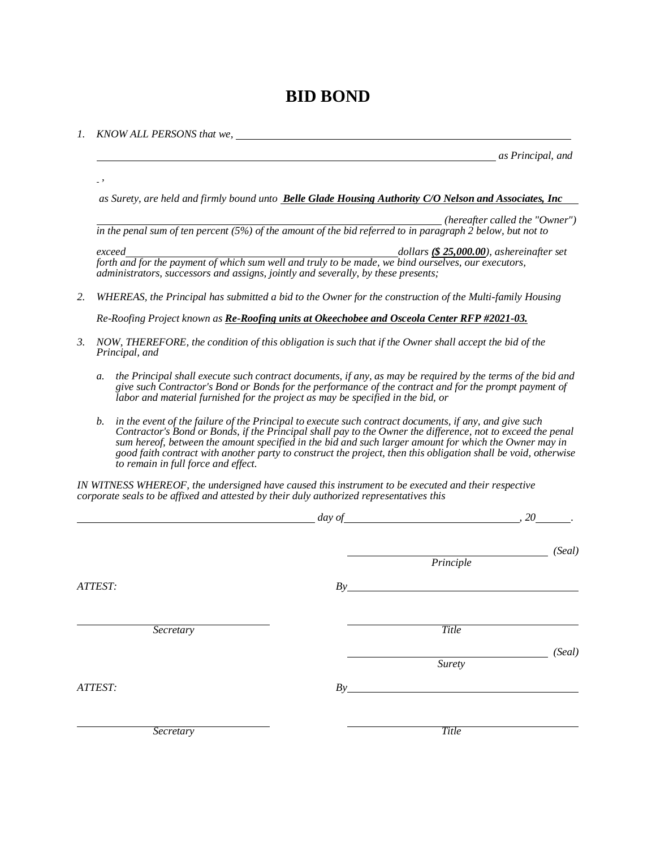## **BID BOND**

*1. KNOW ALL PERSONS that we,*

*,* 

*as Principal, and*

*as Surety, are held and firmly bound unto Belle Glade Housing Authority C/O Nelson and Associates, Inc*

*(hereafter called the "Owner") in the penal sum of ten percent (5%) of the amount of the bid referred to in paragraph 2 below, but not to*

*exceed dollars (\$ 25,000.00), ashereinafter set forth and for the payment of which sum well and truly to be made, we bind ourselves, our executors, administrators, successors and assigns, jointly and severally, by these presents;*

*2. WHEREAS, the Principal has submitted a bid to the Owner for the construction of the Multi-family Housing*

*Re-Roofing Project known as Re-Roofing units at Okeechobee and Osceola Center RFP #2021-03.*

- *3. NOW, THEREFORE, the condition of this obligation is such that if the Owner shall accept the bid of the Principal, and*
	- a. the Principal shall execute such contract documents, if any, as may be required by the terms of the bid and *give such Contractor's Bond or Bonds for the performance of the contract and for the prompt payment of labor and material furnished for the project as may be specified in the bid, or*
	- *b. in the event of the failure of the Principal to execute such contract documents, if any, and give such Contractor's Bond or Bonds, if the Principal shall pay to the Owner the difference, not to exceed the penal sum hereof, between the amount specified in the bid and such larger amount for which the Owner may in good faith contract with another party to construct the project, then this obligation shall be void, otherwise to remain in full force and effect.*

*IN WITNESS WHEREOF, the undersigned have caused this instrument to be executed and their respective corporate seals to be affixed and attested by their duly authorized representatives this*

|           | $day of$ 20 |           |       |
|-----------|-------------|-----------|-------|
|           |             | Principle | (Sed) |
| ATTEST:   | By          |           |       |
| Secretary |             | Title     |       |
|           |             | Surety    | (Sed) |
| ATTEST:   |             |           |       |
| Secretary |             | Title     |       |